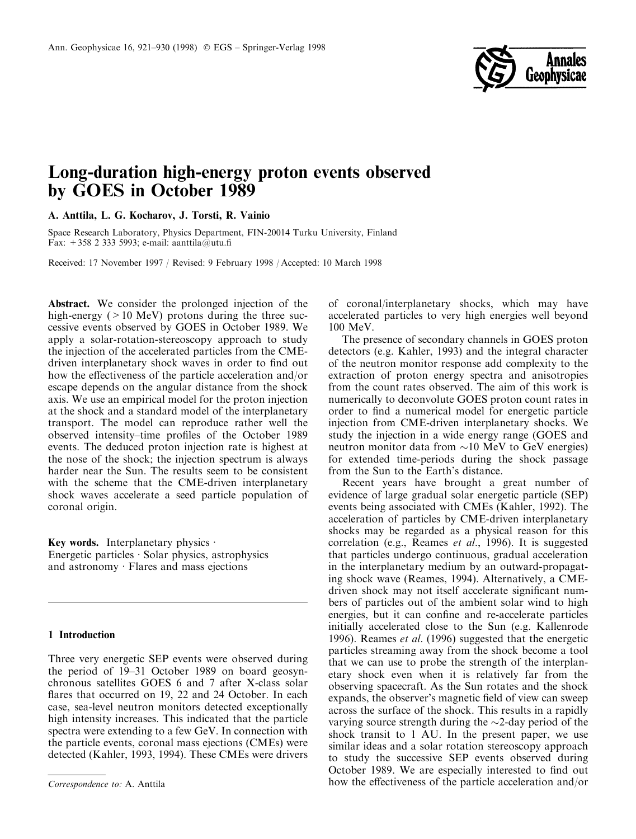

# Long-duration high-energy proton events observed by GOES in October 1989

A. Anttila, L. G. Kocharov, J. Torsti, R. Vainio

Space Research Laboratory, Physics Department, FIN-20014 Turku University, Finland Fax:  $+358$  2 333 5993; e-mail: aanttila@utu.fi

Received: 17 November 1997 / Revised: 9 February 1998 / Accepted: 10 March 1998

Abstract. We consider the prolonged injection of the high-energy  $(>10 \text{ MeV})$  protons during the three successive events observed by GOES in October 1989. We apply a solar-rotation-stereoscopy approach to study the injection of the accelerated particles from the CMEdriven interplanetary shock waves in order to find out how the effectiveness of the particle acceleration and/or escape depends on the angular distance from the shock axis. We use an empirical model for the proton injection at the shock and a standard model of the interplanetary transport. The model can reproduce rather well the observed intensity-time profiles of the October 1989 events. The deduced proton injection rate is highest at the nose of the shock; the injection spectrum is always harder near the Sun. The results seem to be consistent with the scheme that the CME-driven interplanetary shock waves accelerate a seed particle population of coronal origin.

Key words. Interplanetary physics  $\cdot$ Energetic particles  $\cdot$  Solar physics, astrophysics and astronomy  $\cdot$  Flares and mass ejections

## 1 Introduction

Three very energetic SEP events were observed during the period of 19–31 October 1989 on board geosynchronous satellites GOES 6 and 7 after X-class solar flares that occurred on 19, 22 and 24 October. In each case, sea-level neutron monitors detected exceptionally high intensity increases. This indicated that the particle spectra were extending to a few GeV. In connection with the particle events, coronal mass ejections (CMEs) were detected (Kahler, 1993, 1994). These CMEs were drivers of coronal/interplanetary shocks, which may have accelerated particles to very high energies well beyond 100 MeV.

The presence of secondary channels in GOES proton detectors (e.g. Kahler, 1993) and the integral character of the neutron monitor response add complexity to the extraction of proton energy spectra and anisotropies from the count rates observed. The aim of this work is numerically to deconvolute GOES proton count rates in order to find a numerical model for energetic particle injection from CME-driven interplanetary shocks. We study the injection in a wide energy range (GOES and neutron monitor data from  $\sim 10$  MeV to GeV energies) for extended time-periods during the shock passage from the Sun to the Earth's distance.

Recent years have brought a great number of evidence of large gradual solar energetic particle (SEP) events being associated with CMEs (Kahler, 1992). The acceleration of particles by CME-driven interplanetary shocks may be regarded as a physical reason for this correlation (e.g., Reames et al., 1996). It is suggested that particles undergo continuous, gradual acceleration in the interplanetary medium by an outward-propagating shock wave (Reames, 1994). Alternatively, a CMEdriven shock may not itself accelerate significant numbers of particles out of the ambient solar wind to high energies, but it can confine and re-accelerate particles initially accelerated close to the Sun (e.g. Kallenrode 1996). Reames *et al.* (1996) suggested that the energetic particles streaming away from the shock become a tool that we can use to probe the strength of the interplanetary shock even when it is relatively far from the observing spacecraft. As the Sun rotates and the shock expands, the observer's magnetic field of view can sweep across the surface of the shock. This results in a rapidly varying source strength during the  $\sim$ 2-day period of the shock transit to 1 AU. In the present paper, we use similar ideas and a solar rotation stereoscopy approach to study the successive SEP events observed during October 1989. We are especially interested to find out Correspondence to: A. Anttila how the effectiveness of the particle acceleration and/or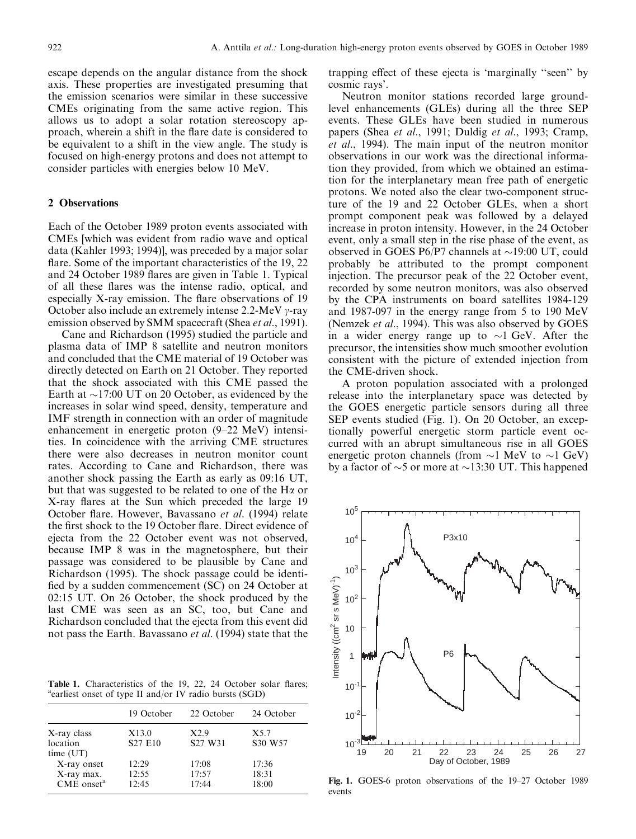escape depends on the angular distance from the shock axis. These properties are investigated presuming that the emission scenarios were similar in these successive CMEs originating from the same active region. This allows us to adopt a solar rotation stereoscopy approach, wherein a shift in the flare date is considered to be equivalent to a shift in the view angle. The study is focused on high-energy protons and does not attempt to consider particles with energies below 10 MeV.

## 2 Observations

Each of the October 1989 proton events associated with CMEs [which was evident from radio wave and optical data (Kahler 1993; 1994)], was preceded by a major solar flare. Some of the important characteristics of the 19, 22 and 24 October 1989 flares are given in Table 1. Typical of all these flares was the intense radio, optical, and especially X-ray emission. The flare observations of 19 October also include an extremely intense 2.2-MeV  $\gamma$ -ray emission observed by SMM spacecraft (Shea et al., 1991).

Cane and Richardson (1995) studied the particle and plasma data of IMP 8 satellite and neutron monitors and concluded that the CME material of 19 October was directly detected on Earth on 21 October. They reported that the shock associated with this CME passed the Earth at  $\sim$ 17:00 UT on 20 October, as evidenced by the increases in solar wind speed, density, temperature and IMF strength in connection with an order of magnitude enhancement in energetic proton  $(9-22 \text{ MeV})$  intensities. In coincidence with the arriving CME structures there were also decreases in neutron monitor count rates. According to Cane and Richardson, there was another shock passing the Earth as early as 09:16 UT, but that was suggested to be related to one of the  $H\alpha$  or X-ray flares at the Sun which preceded the large 19 October flare. However, Bavassano et al. (1994) relate the first shock to the 19 October flare. Direct evidence of ejecta from the 22 October event was not observed, because IMP 8 was in the magnetosphere, but their passage was considered to be plausible by Cane and Richardson (1995). The shock passage could be identi fied by a sudden commencement (SC) on 24 October at 02:15 UT. On 26 October, the shock produced by the last CME was seen as an SC, too, but Cane and Richardson concluded that the ejecta from this event did not pass the Earth. Bavassano et al. (1994) state that the

Table 1. Characteristics of the 19, 22, 24 October solar flares; <sup>a</sup>earliest onset of type II and/or IV radio bursts (SGD)

|                                                     | 19 October              | 22 October                              | 24 October              |
|-----------------------------------------------------|-------------------------|-----------------------------------------|-------------------------|
| X-ray class<br>location<br>time (UT)                | X13.0<br>S27 E10        | X2.9<br>S <sub>27</sub> W <sub>31</sub> | X5.7<br>S30 W57         |
| X-ray onset<br>X-ray max.<br>CME onset <sup>a</sup> | 12:29<br>12:55<br>12:45 | 17:08<br>17:57<br>17:44                 | 17:36<br>18:31<br>18:00 |

trapping effect of these ejecta is 'marginally "seen" by cosmic rays'.

Neutron monitor stations recorded large groundlevel enhancements (GLEs) during all the three SEP events. These GLEs have been studied in numerous papers (Shea et al., 1991; Duldig et al., 1993; Cramp, et al., 1994). The main input of the neutron monitor observations in our work was the directional information they provided, from which we obtained an estimation for the interplanetary mean free path of energetic protons. We noted also the clear two-component structure of the 19 and 22 October GLEs, when a short prompt component peak was followed by a delayed increase in proton intensity. However, in the 24 October event, only a small step in the rise phase of the event, as observed in GOES P6/P7 channels at  $\sim$ 19:00 UT, could probably be attributed to the prompt component injection. The precursor peak of the 22 October event, recorded by some neutron monitors, was also observed by the CPA instruments on board satellites 1984-129 and 1987-097 in the energy range from 5 to 190 MeV (Nemzek et al., 1994). This was also observed by GOES in a wider energy range up to  $\sim$ 1 GeV. After the precursor, the intensities show much smoother evolution consistent with the picture of extended injection from the CME-driven shock.

A proton population associated with a prolonged release into the interplanetary space was detected by the GOES energetic particle sensors during all three SEP events studied (Fig. 1). On 20 October, an exceptionally powerful energetic storm particle event occurred with an abrupt simultaneous rise in all GOES energetic proton channels (from  $\sim$ 1 MeV to  $\sim$ 1 GeV) by a factor of  $\sim$ 5 or more at  $\sim$ 13:30 UT. This happened



Fig. 1. GOES-6 proton observations of the 19-27 October 1989 events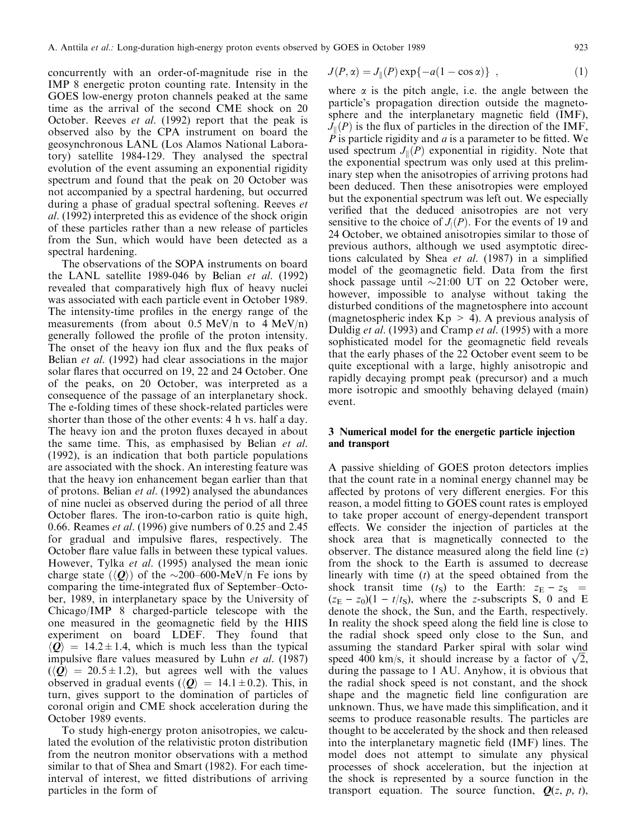concurrently with an order-of-magnitude rise in the IMP 8 energetic proton counting rate. Intensity in the GOES low-energy proton channels peaked at the same time as the arrival of the second CME shock on 20 October. Reeves et al. (1992) report that the peak is observed also by the CPA instrument on board the geosynchronous LANL (Los Alamos National Laboratory) satellite 1984-129. They analysed the spectral evolution of the event assuming an exponential rigidity spectrum and found that the peak on 20 October was not accompanied by a spectral hardening, but occurred during a phase of gradual spectral softening. Reeves et al. (1992) interpreted this as evidence of the shock origin of these particles rather than a new release of particles from the Sun, which would have been detected as a spectral hardening.

The observations of the SOPA instruments on board the LANL satellite 1989-046 by Belian et al. (1992) revealed that comparatively high flux of heavy nuclei was associated with each particle event in October 1989. The intensity-time profiles in the energy range of the measurements (from about 0.5 MeV/n to 4 MeV/n) generally followed the profile of the proton intensity. The onset of the heavy ion flux and the flux peaks of Belian *et al.* (1992) had clear associations in the major solar flares that occurred on 19, 22 and 24 October. One of the peaks, on 20 October, was interpreted as a consequence of the passage of an interplanetary shock. The e-folding times of these shock-related particles were shorter than those of the other events: 4 h vs. half a day. The heavy ion and the proton fluxes decayed in about the same time. This, as emphasised by Belian et al. (1992), is an indication that both particle populations are associated with the shock. An interesting feature was that the heavy ion enhancement began earlier than that of protons. Belian et al. (1992) analysed the abundances of nine nuclei as observed during the period of all three October flares. The iron-to-carbon ratio is quite high, 0.66. Reames et al. (1996) give numbers of 0.25 and 2.45 for gradual and impulsive flares, respectively. The October flare value falls in between these typical values. However, Tylka et al. (1995) analysed the mean ionic charge state  $(\langle \mathbf{Q} \rangle)$  of the  $\sim$ 200–600-MeV/n Fe ions by comparing the time-integrated flux of September-October, 1989, in interplanetary space by the University of Chicago/IMP 8 charged-particle telescope with the one measured in the geomagnetic field by the HIIS experiment on board LDEF. They found that  $\langle Q \rangle$  = 14.2 ± 1.4, which is much less than the typical impulsive flare values measured by Luhn *et al.* (1987)  $\langle \langle \mathbf{Q} \rangle = 20.5 \pm 1.2$ , but agrees well with the values observed in gradual events ( $\langle \mathcal{Q} \rangle = 14.1 \pm 0.2$ ). This, in turn, gives support to the domination of particles of coronal origin and CME shock acceleration during the October 1989 events.

To study high-energy proton anisotropies, we calculated the evolution of the relativistic proton distribution from the neutron monitor observations with a method similar to that of Shea and Smart (1982). For each timeinterval of interest, we fitted distributions of arriving particles in the form of

$$
J(P, \alpha) = J_{\parallel}(P) \exp\{-a(1 - \cos \alpha)\}, \qquad (1)
$$

where  $\alpha$  is the pitch angle, i.e. the angle between the particle's propagation direction outside the magnetosphere and the interplanetary magnetic field (IMF),  $J_{\parallel}(P)$  is the flux of particles in the direction of the IMF,  $\overline{P}$  is particle rigidity and  $\overline{a}$  is a parameter to be fitted. We used spectrum  $J_{\parallel}(P)$  exponential in rigidity. Note that the exponential spectrum was only used at this preliminary step when the anisotropies of arriving protons had been deduced. Then these anisotropies were employed but the exponential spectrum was left out. We especially verified that the deduced anisotropies are not very sensitive to the choice of  $J_1(P)$ . For the events of 19 and 24 October, we obtained anisotropies similar to those of previous authors, although we used asymptotic directions calculated by Shea et al.  $(1987)$  in a simplified model of the geomagnetic field. Data from the first shock passage until  $\sim$ 21:00 UT on 22 October were, however, impossible to analyse without taking the disturbed conditions of the magnetosphere into account (magnetospheric index  $Kp > 4$ ). A previous analysis of Duldig *et al.* (1993) and Cramp *et al.* (1995) with a more sophisticated model for the geomagnetic field reveals that the early phases of the 22 October event seem to be quite exceptional with a large, highly anisotropic and rapidly decaying prompt peak (precursor) and a much more isotropic and smoothly behaving delayed (main) event.

## 3 Numerical model for the energetic particle injection and transport

A passive shielding of GOES proton detectors implies that the count rate in a nominal energy channel may be affected by protons of very different energies. For this reason, a model fitting to GOES count rates is employed to take proper account of energy-dependent transport effects. We consider the injection of particles at the shock area that is magnetically connected to the observer. The distance measured along the field line  $(z)$ from the shock to the Earth is assumed to decrease linearly with time  $(t)$  at the speed obtained from the shock transit time  $(t_S)$  to the Earth:  $z_E - z_S$  $(z<sub>E</sub> - z<sub>0</sub>)(1 - t/t<sub>S</sub>)$ , where the z-subscripts S, 0 and E denote the shock, the Sun, and the Earth, respectively. In reality the shock speed along the field line is close to the radial shock speed only close to the Sun, and assuming the standard Parker spiral with solar wind assuming the standard Parker spiral with solar wind<br>speed 400 km/s, it should increase by a factor of  $\sqrt{2}$ , during the passage to 1 AU. Anyhow, it is obvious that the radial shock speed is not constant, and the shock shape and the magnetic field line configuration are unknown. Thus, we have made this simplification, and it seems to produce reasonable results. The particles are thought to be accelerated by the shock and then released into the interplanetary magnetic field (IMF) lines. The model does not attempt to simulate any physical processes of shock acceleration, but the injection at the shock is represented by a source function in the transport equation. The source function,  $Q(z, p, t)$ ,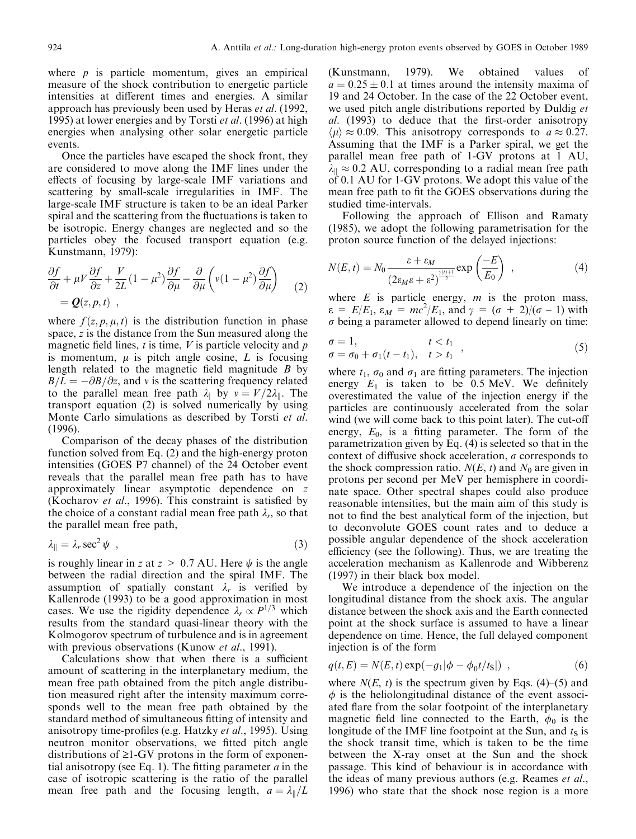where  $p$  is particle momentum, gives an empirical measure of the shock contribution to energetic particle intensities at different times and energies. A similar approach has previously been used by Heras et al. (1992, 1995) at lower energies and by Torsti et al. (1996) at high energies when analysing other solar energetic particle events.

Once the particles have escaped the shock front, they are considered to move along the IMF lines under the effects of focusing by large-scale IMF variations and scattering by small-scale irregularities in IMF. The large-scale IMF structure is taken to be an ideal Parker spiral and the scattering from the fluctuations is taken to be isotropic. Energy changes are neglected and so the particles obey the focused transport equation (e.g. Kunstmann, 1979):

$$
\frac{\partial f}{\partial t} + \mu V \frac{\partial f}{\partial z} + \frac{V}{2L} (1 - \mu^2) \frac{\partial f}{\partial \mu} - \frac{\partial}{\partial \mu} \left( v(1 - \mu^2) \frac{\partial f}{\partial \mu} \right) \tag{2}
$$
\n
$$
= \mathbf{Q}(z, p, t) ,
$$

where  $f(z, p, \mu, t)$  is the distribution function in phase space, z is the distance from the Sun measured along the magnetic field lines,  $t$  is time,  $V$  is particle velocity and  $p$ is momentum,  $\mu$  is pitch angle cosine,  $L$  is focusing length related to the magnetic field magnitude  $B$  by  $B/L = -\partial B/\partial z$ , and v is the scattering frequency related to the parallel mean free path  $\lambda_1$  by  $v = V/2\lambda_1$ . The transport equation (2) is solved numerically by using Monte Carlo simulations as described by Torsti et al. (1996).

Comparison of the decay phases of the distribution function solved from Eq. (2) and the high-energy proton intensities (GOES P7 channel) of the 24 October event reveals that the parallel mean free path has to have approximately linear asymptotic dependence on z (Kocharov et al., 1996). This constraint is satisfied by the choice of a constant radial mean free path  $\lambda_r$ , so that the parallel mean free path,

$$
\lambda_{\parallel} = \lambda_r \sec^2 \psi \quad , \tag{3}
$$

is roughly linear in z at  $z > 0.7$  AU. Here  $\psi$  is the angle between the radial direction and the spiral IMF. The assumption of spatially constant  $\lambda_r$  is verified by Kallenrode (1993) to be a good approximation in most cases. We use the rigidity dependence  $\lambda_r \propto P^{1/3}$  which results from the standard quasi-linear theory with the Kolmogorov spectrum of turbulence and is in agreement with previous observations (Kunow et al., 1991).

Calculations show that when there is a sufficient amount of scattering in the interplanetary medium, the mean free path obtained from the pitch angle distribution measured right after the intensity maximum corresponds well to the mean free path obtained by the standard method of simultaneous fitting of intensity and anisotropy time-profiles (e.g. Hatzky *et al.*, 1995). Using neutron monitor observations, we fitted pitch angle distributions of  $\geq 1$ -GV protons in the form of exponential anisotropy (see Eq. 1). The fitting parameter  $a$  in the case of isotropic scattering is the ratio of the parallel mean free path and the focusing length,  $a = \lambda_{\parallel}/L$ 

(Kunstmann, 1979). We obtained values of  $a = 0.25 \pm 0.1$  at times around the intensity maxima of 19 and 24 October. In the case of the 22 October event, we used pitch angle distributions reported by Duldig et al. (1993) to deduce that the first-order anisotropy  $\langle \mu \rangle \approx 0.09$ . This anisotropy corresponds to  $a \approx 0.27$ . Assuming that the IMF is a Parker spiral, we get the parallel mean free path of 1-GV protons at 1 AU,  $\lambda_{\parallel} \approx 0.2$  AU, corresponding to a radial mean free path of 0.1 AU for 1-GV protons. We adopt this value of the mean free path to fit the GOES observations during the studied time-intervals.

Following the approach of Ellison and Ramaty (1985), we adopt the following parametrisation for the proton source function of the delayed injections:

$$
N(E,t) = N_0 \frac{\varepsilon + \varepsilon_M}{(2\varepsilon_M \varepsilon + \varepsilon^2)^{\frac{\gamma(t)+1}{2}}} \exp\left(\frac{-E}{E_0}\right) ,\qquad (4)
$$

where  $E$  is particle energy,  $m$  is the proton mass,  $\varepsilon = E/E_1$ ,  $\varepsilon_M = mc^2/E_1$ , and  $\gamma = (\sigma + 2)/(\sigma - 1)$  with  $\sigma$  being a parameter allowed to depend linearly on time:

$$
\begin{aligned}\n\sigma &= 1, & t < t_1 \\
\sigma &= \sigma_0 + \sigma_1(t - t_1), & t > t_1\n\end{aligned} \tag{5}
$$

where  $t_1$ ,  $\sigma_0$  and  $\sigma_1$  are fitting parameters. The injection energy  $E_1$  is taken to be 0.5 MeV. We definitely overestimated the value of the injection energy if the particles are continuously accelerated from the solar wind (we will come back to this point later). The cut-off energy,  $E_0$ , is a fitting parameter. The form of the parametrization given by Eq. (4) is selected so that in the context of diffusive shock acceleration,  $\sigma$  corresponds to the shock compression ratio.  $N(E, t)$  and  $N_0$  are given in protons per second per MeV per hemisphere in coordinate space. Other spectral shapes could also produce reasonable intensities, but the main aim of this study is not to find the best analytical form of the injection, but to deconvolute GOES count rates and to deduce a possible angular dependence of the shock acceleration efficiency (see the following). Thus, we are treating the acceleration mechanism as Kallenrode and Wibberenz (1997) in their black box model.

We introduce a dependence of the injection on the longitudinal distance from the shock axis. The angular distance between the shock axis and the Earth connected point at the shock surface is assumed to have a linear dependence on time. Hence, the full delayed component injection is of the form

$$
q(t, E) = N(E, t) \exp(-g_1|\phi - \phi_0 t/t_{\rm S}|) \quad , \tag{6}
$$

where  $N(E, t)$  is the spectrum given by Eqs. (4)–(5) and  $\phi$  is the heliolongitudinal distance of the event associated flare from the solar footpoint of the interplanetary magnetic field line connected to the Earth,  $\phi_0$  is the longitude of the IMF line footpoint at the Sun, and  $t<sub>S</sub>$  is the shock transit time, which is taken to be the time between the X-ray onset at the Sun and the shock passage. This kind of behaviour is in accordance with the ideas of many previous authors (e.g. Reames et al., 1996) who state that the shock nose region is a more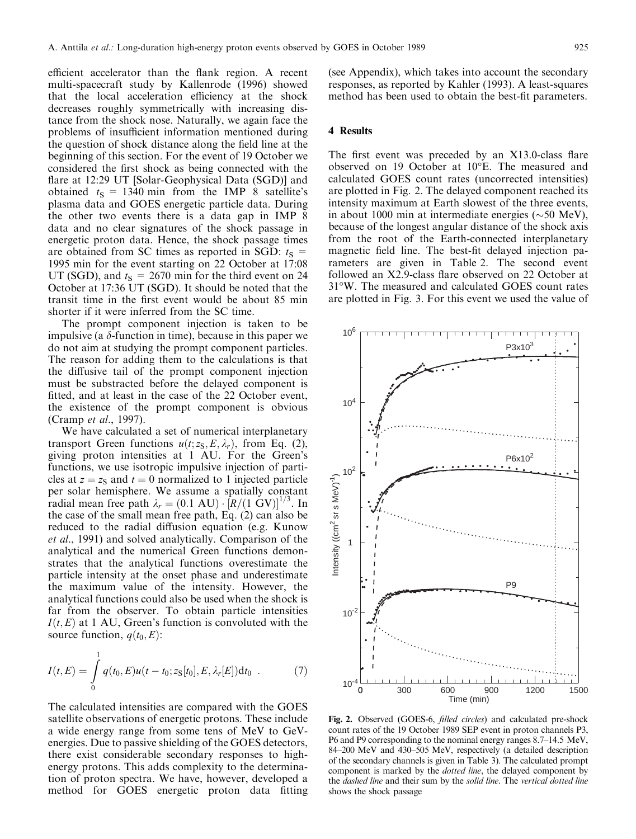efficient accelerator than the flank region. A recent multi-spacecraft study by Kallenrode (1996) showed that the local acceleration efficiency at the shock decreases roughly symmetrically with increasing distance from the shock nose. Naturally, we again face the problems of insufficient information mentioned during the question of shock distance along the field line at the beginning of this section. For the event of 19 October we considered the first shock as being connected with the flare at 12:29 UT [Solar-Geophysical Data (SGD)] and obtained  $t_s = 1340$  min from the IMP 8 satellite's plasma data and GOES energetic particle data. During the other two events there is a data gap in IMP 8 data and no clear signatures of the shock passage in energetic proton data. Hence, the shock passage times are obtained from SC times as reported in SGD:  $t_S$  = 1995 min for the event starting on 22 October at 17:08 UT (SGD), and  $t_s = 2670$  min for the third event on 24 October at 17:36 UT (SGD). It should be noted that the transit time in the first event would be about 85 min shorter if it were inferred from the SC time.

The prompt component injection is taken to be impulsive (a  $\delta$ -function in time), because in this paper we do not aim at studying the prompt component particles. The reason for adding them to the calculations is that the diffusive tail of the prompt component injection must be substracted before the delayed component is fitted, and at least in the case of the 22 October event, the existence of the prompt component is obvious (Cramp et al., 1997).

We have calculated a set of numerical interplanetary transport Green functions  $u(t; z<sub>S</sub>, E, \lambda<sub>r</sub>)$ , from Eq. (2), giving proton intensities at 1 AU. For the Green's functions, we use isotropic impulsive injection of particles at  $z = z<sub>S</sub>$  and  $t = 0$  normalized to 1 injected particle per solar hemisphere. We assume a spatially constant radial mean free path  $\lambda_r = (0.1 \text{ AU}) \cdot [R/(1 \text{ GV})]^{1/3}$ . In the case of the small mean free path, Eq. (2) can also be reduced to the radial diffusion equation (e.g. Kunow et al., 1991) and solved analytically. Comparison of the analytical and the numerical Green functions demonstrates that the analytical functions overestimate the particle intensity at the onset phase and underestimate the maximum value of the intensity. However, the analytical functions could also be used when the shock is far from the observer. To obtain particle intensities  $I(t, E)$  at 1 AU, Green's function is convoluted with the source function,  $q(t_0, E)$ :

$$
I(t,E) = \int_{0}^{1} q(t_0, E) u(t - t_0; z_{\rm S}[t_0], E, \lambda_r[E]) dt_0 . \tag{7}
$$

The calculated intensities are compared with the GOES satellite observations of energetic protons. These include a wide energy range from some tens of MeV to GeVenergies. Due to passive shielding of the GOES detectors, there exist considerable secondary responses to highenergy protons. This adds complexity to the determination of proton spectra. We have, however, developed a method for GOES energetic proton data fitting

(see Appendix), which takes into account the secondary responses, as reported by Kahler (1993). A least-squares method has been used to obtain the best-fit parameters.

### 4 Results

The first event was preceded by an  $X13.0$ -class flare observed on 19 October at 10°E. The measured and calculated GOES count rates (uncorrected intensities) are plotted in Fig. 2. The delayed component reached its intensity maximum at Earth slowest of the three events, in about 1000 min at intermediate energies  $(\sim 50 \text{ MeV})$ , because of the longest angular distance of the shock axis from the root of the Earth-connected interplanetary magnetic field line. The best-fit delayed injection parameters are given in Table 2. The second event followed an X2.9-class flare observed on 22 October at 31°W. The measured and calculated GOES count rates are plotted in Fig. 3. For this event we used the value of



Fig. 2. Observed (GOES-6, *filled circles*) and calculated pre-shock count rates of the 19 October 1989 SEP event in proton channels P3, P6 and P9 corresponding to the nominal energy ranges 8.7–14.5 MeV, 84-200 MeV and 430-505 MeV, respectively (a detailed description of the secondary channels is given in Table 3). The calculated prompt component is marked by the *dotted line*, the delayed component by the dashed line and their sum by the solid line. The vertical dotted line shows the shock passage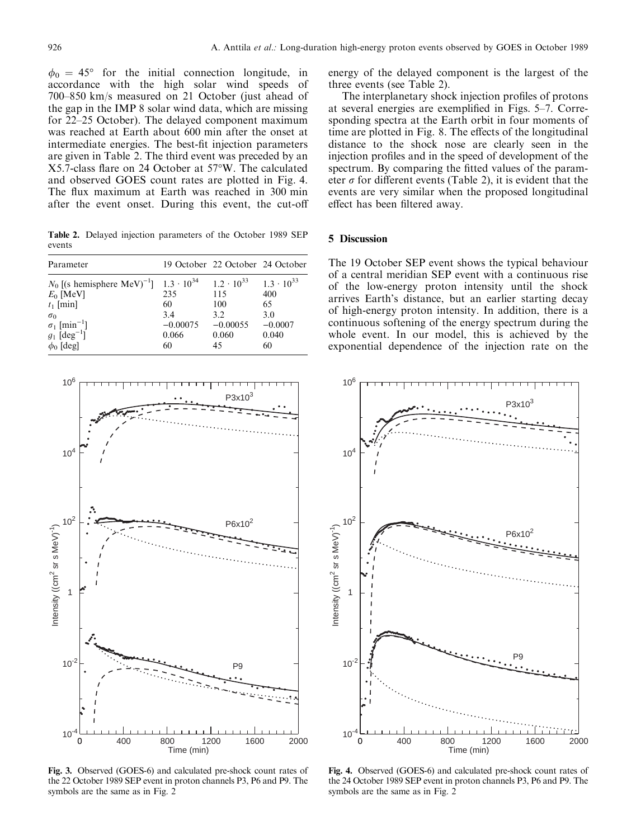$\phi_0 = 45^{\circ}$  for the initial connection longitude, in accordance with the high solar wind speeds of 700–850 km/s measured on 21 October (just ahead of the gap in the IMP 8 solar wind data, which are missing for 22-25 October). The delayed component maximum was reached at Earth about 600 min after the onset at intermediate energies. The best-fit injection parameters are given in Table 2. The third event was preceded by an X5.7-class flare on 24 October at 57°W. The calculated and observed GOES count rates are plotted in Fig. 4. The flux maximum at Earth was reached in 300 min after the event onset. During this event, the cut-o

Table 2. Delayed injection parameters of the October 1989 SEP events

| Parameter                                                                                                                                                                                       |                                               | 19 October 22 October 24 October                                      |                                                                     |
|-------------------------------------------------------------------------------------------------------------------------------------------------------------------------------------------------|-----------------------------------------------|-----------------------------------------------------------------------|---------------------------------------------------------------------|
| $N_0$ [(s hemisphere MeV) <sup>-1</sup> ] 1.3 · 10 <sup>34</sup><br>$E_0$ [MeV]<br>$t_1$ [min]<br>$\sigma_0$<br>$\sigma_1$ [min <sup>-1</sup> ]<br>$g_1$ [deg <sup>-1</sup> ]<br>$\phi_0$ [deg] | 235<br>60<br>3.4<br>$-0.00075$<br>0.066<br>60 | $1.2 \cdot 10^{33}$<br>115<br>100<br>3.2<br>$-0.00055$<br>0.060<br>45 | $1.3 \cdot 10^{33}$<br>400<br>65<br>3.0<br>$-0.0007$<br>0.040<br>60 |



Fig. 3. Observed (GOES-6) and calculated pre-shock count rates of the 22 October 1989 SEP event in proton channels P3, P6 and P9. The symbols are the same as in Fig. 2

energy of the delayed component is the largest of the three events (see Table 2).

The interplanetary shock injection profiles of protons at several energies are exemplified in Figs.  $5-7$ . Corresponding spectra at the Earth orbit in four moments of time are plotted in Fig. 8. The effects of the longitudinal distance to the shock nose are clearly seen in the injection profiles and in the speed of development of the spectrum. By comparing the fitted values of the parameter  $\sigma$  for different events (Table 2), it is evident that the events are very similar when the proposed longitudinal effect has been filtered away.

### 5 Discussion

The 19 October SEP event shows the typical behaviour of a central meridian SEP event with a continuous rise of the low-energy proton intensity until the shock arrives Earth's distance, but an earlier starting decay of high-energy proton intensity. In addition, there is a continuous softening of the energy spectrum during the whole event. In our model, this is achieved by the exponential dependence of the injection rate on the



Fig. 4. Observed (GOES-6) and calculated pre-shock count rates of the 24 October 1989 SEP event in proton channels P3, P6 and P9. The symbols are the same as in Fig. 2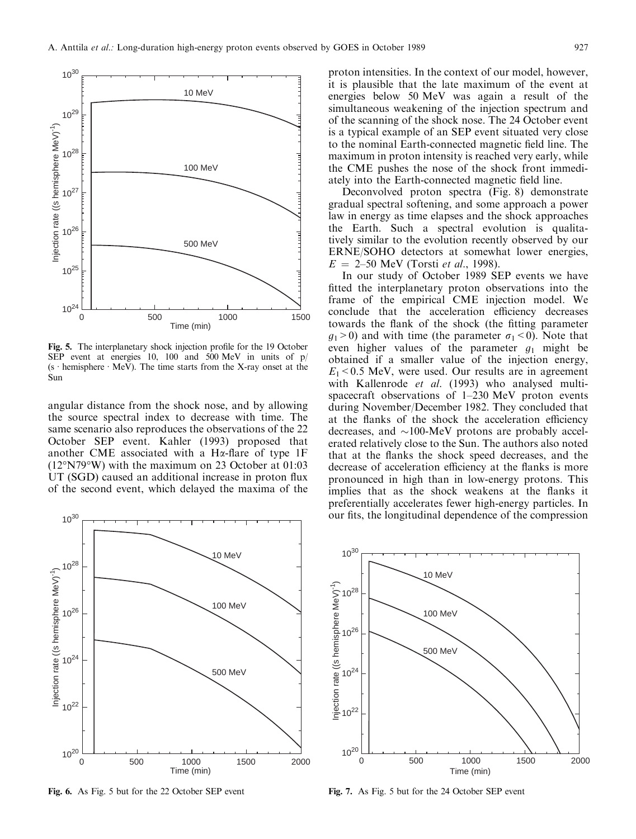

Fig. 5. The interplanetary shock injection profile for the 19 October SEP event at energies 10, 100 and 500 MeV in units of p/ (s  $\cdot$  hemisphere  $\cdot$  MeV). The time starts from the X-ray onset at the Sun

angular distance from the shock nose, and by allowing the source spectral index to decrease with time. The same scenario also reproduces the observations of the 22 October SEP event. Kahler (1993) proposed that another CME associated with a H $\alpha$ -flare of type 1F (12°N79°W) with the maximum on 23 October at 01:03 UT (SGD) caused an additional increase in proton flux of the second event, which delayed the maxima of the



Fig. 6. As Fig. 5 but for the 22 October SEP event

proton intensities. In the context of our model, however, it is plausible that the late maximum of the event at energies below 50 MeV was again a result of the simultaneous weakening of the injection spectrum and of the scanning of the shock nose. The 24 October event is a typical example of an SEP event situated very close to the nominal Earth-connected magnetic field line. The maximum in proton intensity is reached very early, while the CME pushes the nose of the shock front immediately into the Earth-connected magnetic field line.

Deconvolved proton spectra (Fig. 8) demonstrate gradual spectral softening, and some approach a power law in energy as time elapses and the shock approaches the Earth. Such a spectral evolution is qualitatively similar to the evolution recently observed by our ERNE/SOHO detectors at somewhat lower energies,  $E = 2-50$  MeV (Torsti *et al.*, 1998).

In our study of October 1989 SEP events we have fitted the interplanetary proton observations into the frame of the empirical CME injection model. We conclude that the acceleration efficiency decreases towards the flank of the shock (the fitting parameter  $g_1$ >0) and with time (the parameter  $\sigma_1$ <0). Note that even higher values of the parameter  $g_1$  might be obtained if a smaller value of the injection energy,  $E_1$  < 0.5 MeV, were used. Our results are in agreement with Kallenrode et al. (1993) who analysed multispacecraft observations of  $1-230$  MeV proton events during November/December 1982. They concluded that at the flanks of the shock the acceleration efficiency decreases, and  $\sim$ 100-MeV protons are probably accelerated relatively close to the Sun. The authors also noted that at the flanks the shock speed decreases, and the decrease of acceleration efficiency at the flanks is more pronounced in high than in low-energy protons. This implies that as the shock weakens at the flanks it preferentially accelerates fewer high-energy particles. In our fits, the longitudinal dependence of the compression



Fig. 7. As Fig. 5 but for the 24 October SEP event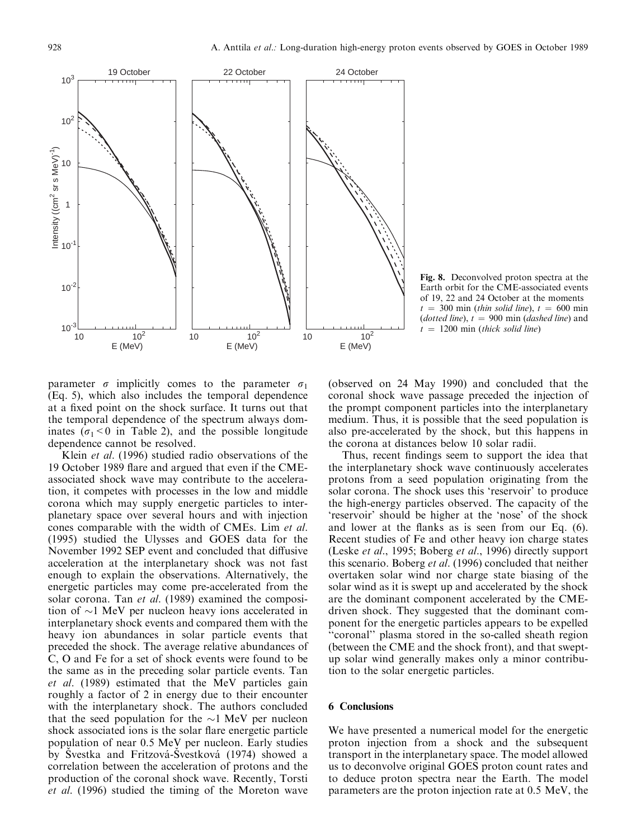

Fig. 8. Deconvolved proton spectra at the Earth orbit for the CME-associated events of 19, 22 and 24 October at the moments  $t = 300$  min (thin solid line),  $t = 600$  min (dotted line),  $t = 900$  min (dashed line) and  $t = 1200$  min (thick solid line)

parameter  $\sigma$  implicitly comes to the parameter  $\sigma_1$ (Eq. 5), which also includes the temporal dependence at a fixed point on the shock surface. It turns out that the temporal dependence of the spectrum always dominates ( $\sigma_1$ <0 in Table 2), and the possible longitude dependence cannot be resolved.

Klein et al. (1996) studied radio observations of the 19 October 1989 flare and argued that even if the CMEassociated shock wave may contribute to the acceleration, it competes with processes in the low and middle corona which may supply energetic particles to interplanetary space over several hours and with injection cones comparable with the width of CMEs. Lim et al. (1995) studied the Ulysses and GOES data for the November 1992 SEP event and concluded that diffusive acceleration at the interplanetary shock was not fast enough to explain the observations. Alternatively, the energetic particles may come pre-accelerated from the solar corona. Tan et al. (1989) examined the composition of  $\sim$ 1 MeV per nucleon heavy ions accelerated in interplanetary shock events and compared them with the heavy ion abundances in solar particle events that preceded the shock. The average relative abundances of C, O and Fe for a set of shock events were found to be the same as in the preceding solar particle events. Tan et al. (1989) estimated that the MeV particles gain roughly a factor of 2 in energy due to their encounter with the interplanetary shock. The authors concluded that the seed population for the  $\sim$ 1 MeV per nucleon shock associated ions is the solar flare energetic particle population of near 0.5 MeV per nucleon. Early studies by Svestka and Fritzová-Svestková (1974) showed a correlation between the acceleration of protons and the production of the coronal shock wave. Recently, Torsti et al. (1996) studied the timing of the Moreton wave

(observed on 24 May 1990) and concluded that the coronal shock wave passage preceded the injection of the prompt component particles into the interplanetary medium. Thus, it is possible that the seed population is also pre-accelerated by the shock, but this happens in the corona at distances below 10 solar radii.

Thus, recent findings seem to support the idea that the interplanetary shock wave continuously accelerates protons from a seed population originating from the solar corona. The shock uses this `reservoir' to produce the high-energy particles observed. The capacity of the `reservoir' should be higher at the `nose' of the shock and lower at the flanks as is seen from our Eq.  $(6)$ . Recent studies of Fe and other heavy ion charge states (Leske et al., 1995; Boberg et al., 1996) directly support this scenario. Boberg et al. (1996) concluded that neither overtaken solar wind nor charge state biasing of the solar wind as it is swept up and accelerated by the shock are the dominant component accelerated by the CMEdriven shock. They suggested that the dominant component for the energetic particles appears to be expelled ``coronal'' plasma stored in the so-called sheath region (between the CME and the shock front), and that sweptup solar wind generally makes only a minor contribution to the solar energetic particles.

## 6 Conclusions

We have presented a numerical model for the energetic proton injection from a shock and the subsequent transport in the interplanetary space. The model allowed us to deconvolve original GOES proton count rates and to deduce proton spectra near the Earth. The model parameters are the proton injection rate at 0.5 MeV, the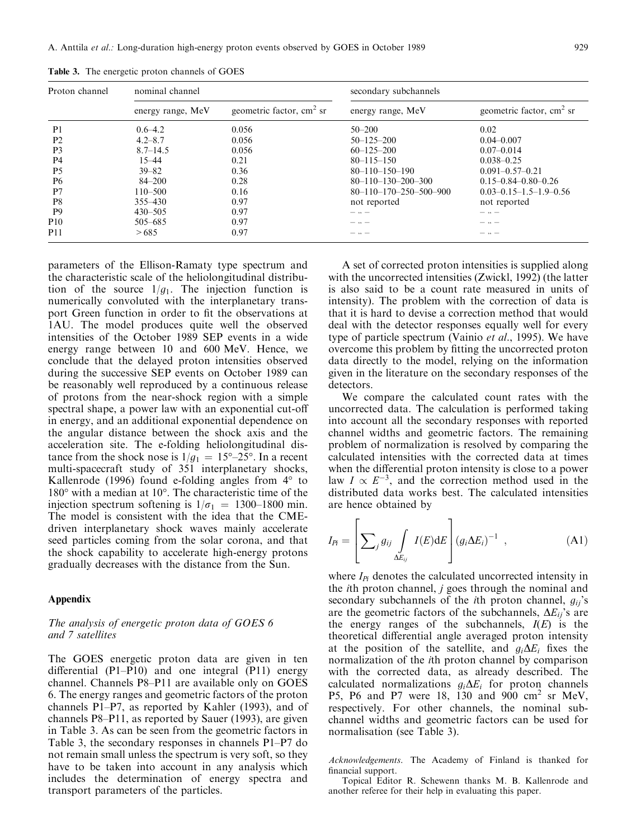| Proton channel  | nominal channel   |                            | secondary subchannels              |                                  |
|-----------------|-------------------|----------------------------|------------------------------------|----------------------------------|
|                 | energy range, MeV | geometric factor, $cm2$ sr | energy range, MeV                  | geometric factor, $cm2$ sr       |
| P <sub>1</sub>  | $0.6 - 4.2$       | 0.056                      | $50 - 200$                         | 0.02                             |
| P <sub>2</sub>  | $4.2 - 8.7$       | 0.056                      | $50 - 125 - 200$                   | $0.04 - 0.007$                   |
| P <sub>3</sub>  | $8.7 - 14.5$      | 0.056                      | $60 - 125 - 200$                   | $0.07 - 0.014$                   |
| P <sub>4</sub>  | $15 - 44$         | 0.21                       | $80 - 115 - 150$                   | $0.038 - 0.25$                   |
| P <sub>5</sub>  | $39 - 82$         | 0.36                       | $80 - 110 - 150 - 190$             | $0.091 - 0.57 - 0.21$            |
| P <sub>6</sub>  | $84 - 200$        | 0.28                       | $80 - 110 - 130 - 200 - 300$       | $0.15 - 0.84 - 0.80 - 0.26$      |
| P <sub>7</sub>  | $110 - 500$       | 0.16                       | $80 - 110 - 170 - 250 - 500 - 900$ | $0.03 - 0.15 - 1.5 - 1.9 - 0.56$ |
| P8              | $355 - 430$       | 0.97                       | not reported                       | not reported                     |
| P <sub>9</sub>  | $430 - 505$       | 0.97                       | - . -                              | -  -                             |
| P <sub>10</sub> | 505-685           | 0.97                       |                                    |                                  |
| P11             | >685              | 0.97                       |                                    |                                  |

Table 3. The energetic proton channels of GOES

parameters of the Ellison-Ramaty type spectrum and the characteristic scale of the heliolongitudinal distribution of the source  $1/g_1$ . The injection function is numerically convoluted with the interplanetary transport Green function in order to fit the observations at 1AU. The model produces quite well the observed intensities of the October 1989 SEP events in a wide energy range between 10 and 600 MeV. Hence, we conclude that the delayed proton intensities observed during the successive SEP events on October 1989 can be reasonably well reproduced by a continuous release of protons from the near-shock region with a simple spectral shape, a power law with an exponential cut-o in energy, and an additional exponential dependence on the angular distance between the shock axis and the acceleration site. The e-folding heliolongitudinal distance from the shock nose is  $1/g_1 = 15^{\circ} - 25^{\circ}$ . In a recent multi-spacecraft study of 351 interplanetary shocks, Kallenrode (1996) found e-folding angles from 4° to 180° with a median at 10°. The characteristic time of the injection spectrum softening is  $1/\sigma_1 = 1300-1800$  min. The model is consistent with the idea that the CMEdriven interplanetary shock waves mainly accelerate seed particles coming from the solar corona, and that the shock capability to accelerate high-energy protons gradually decreases with the distance from the Sun.

#### Appendix

## The analysis of energetic proton data of GOES 6 and 7 satellites

The GOES energetic proton data are given in ten differential  $(P1-P10)$  and one integral  $(P11)$  energy channel. Channels P8-P11 are available only on GOES 6. The energy ranges and geometric factors of the proton channels P1 $-P7$ , as reported by Kahler (1993), and of channels  $P8-P11$ , as reported by Sauer (1993), are given in Table 3. As can be seen from the geometric factors in Table 3, the secondary responses in channels  $P1-P7$  do not remain small unless the spectrum is very soft, so they have to be taken into account in any analysis which includes the determination of energy spectra and transport parameters of the particles.

A set of corrected proton intensities is supplied along with the uncorrected intensities (Zwickl, 1992) (the latter is also said to be a count rate measured in units of intensity). The problem with the correction of data is that it is hard to devise a correction method that would deal with the detector responses equally well for every type of particle spectrum (Vainio *et al.*, 1995). We have overcome this problem by fitting the uncorrected proton data directly to the model, relying on the information given in the literature on the secondary responses of the detectors.

We compare the calculated count rates with the uncorrected data. The calculation is performed taking into account all the secondary responses with reported channel widths and geometric factors. The remaining problem of normalization is resolved by comparing the calculated intensities with the corrected data at times when the differential proton intensity is close to a power law  $I \propto E^{-3}$ , and the correction method used in the distributed data works best. The calculated intensities are hence obtained by

$$
I_{Pi} = \left[\sum_{j} g_{ij} \int_{\Delta E_{ij}} I(E) dE\right] (g_i \Delta E_i)^{-1} , \qquad (A1)
$$

where  $I_{\text{Pl}}$  denotes the calculated uncorrected intensity in the ith proton channel, j goes through the nominal and secondary subchannels of the *i*th proton channel,  $g_{ii}$ 's are the geometric factors of the subchannels,  $\Delta E_{ij}$ 's are the energy ranges of the subchannels,  $I(E)$  is the theoretical differential angle averaged proton intensity at the position of the satellite, and  $g_i\Delta E_i$  fixes the normalization of the ith proton channel by comparison with the corrected data, as already described. The calculated normalizations  $g_i\Delta E_i$  for proton channels P5, P6 and P7 were 18, 130 and 900  $\text{cm}^2$  sr MeV, respectively. For other channels, the nominal subchannel widths and geometric factors can be used for normalisation (see Table 3).

Acknowledgements. The Academy of Finland is thanked for financial support.

Topical Editor R. Schewenn thanks M. B. Kallenrode and another referee for their help in evaluating this paper.